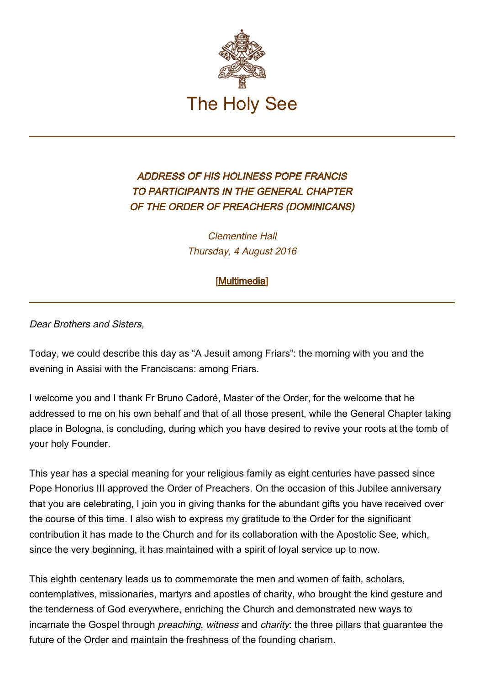

## ADDRESS OF HIS HOLINESS POPE FRANCIS TO PARTICIPANTS IN THE GENERAL CHAPTER OF THE ORDER OF PREACHERS (DOMINICANS)

Clementine Hall Thursday, 4 August 2016

## [\[Multimedia](http://w2.vatican.va/content/francesco/en/events/event.dir.html/content/vaticanevents/en/2016/8/4/domenicani.html)]

Dear Brothers and Sisters,

Today, we could describe this day as "A Jesuit among Friars": the morning with you and the evening in Assisi with the Franciscans: among Friars.

I welcome you and I thank Fr Bruno Cadoré, Master of the Order, for the welcome that he addressed to me on his own behalf and that of all those present, while the General Chapter taking place in Bologna, is concluding, during which you have desired to revive your roots at the tomb of your holy Founder.

This year has a special meaning for your religious family as eight centuries have passed since Pope Honorius III approved the Order of Preachers. On the occasion of this Jubilee anniversary that you are celebrating, I join you in giving thanks for the abundant gifts you have received over the course of this time. I also wish to express my gratitude to the Order for the significant contribution it has made to the Church and for its collaboration with the Apostolic See, which, since the very beginning, it has maintained with a spirit of loyal service up to now.

This eighth centenary leads us to commemorate the men and women of faith, scholars, contemplatives, missionaries, martyrs and apostles of charity, who brought the kind gesture and the tenderness of God everywhere, enriching the Church and demonstrated new ways to incarnate the Gospel through *preaching, witness* and *charity*: the three pillars that guarantee the future of the Order and maintain the freshness of the founding charism.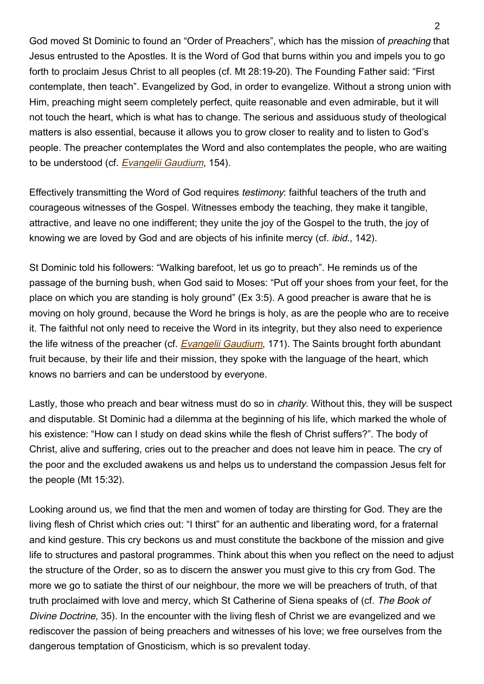God moved St Dominic to found an "Order of Preachers", which has the mission of preaching that Jesus entrusted to the Apostles. It is the Word of God that burns within you and impels you to go forth to proclaim Jesus Christ to all peoples (cf. Mt 28:19-20). The Founding Father said: "First contemplate, then teach". Evangelized by God, in order to evangelize. Without a strong union with Him, preaching might seem completely perfect, quite reasonable and even admirable, but it will not touch the heart, which is what has to change. The serious and assiduous study of theological matters is also essential, because it allows you to grow closer to reality and to listen to God's people. The preacher contemplates the Word and also contemplates the people, who are waiting to be understood (cf. [Evangelii Gaudium](http://w2.vatican.va/content/francesco/en/apost_exhortations/documents/papa-francesco_esortazione-ap_20131124_evangelii-gaudium.html), 154).

Effectively transmitting the Word of God requires *testimony*: faithful teachers of the truth and courageous witnesses of the Gospel. Witnesses embody the teaching, they make it tangible, attractive, and leave no one indifferent; they unite the joy of the Gospel to the truth, the joy of knowing we are loved by God and are objects of his infinite mercy (cf. ibid., 142).

St Dominic told his followers: "Walking barefoot, let us go to preach". He reminds us of the passage of the burning bush, when God said to Moses: "Put off your shoes from your feet, for the place on which you are standing is holy ground" (Ex 3:5). A good preacher is aware that he is moving on holy ground, because the Word he brings is holy, as are the people who are to receive it. The faithful not only need to receive the Word in its integrity, but they also need to experience the life witness of the preacher (cf. *[Evangelii Gaudium](http://w2.vatican.va/content/francesco/en/apost_exhortations/documents/papa-francesco_esortazione-ap_20131124_evangelii-gaudium.html)*, 171). The Saints brought forth abundant fruit because, by their life and their mission, they spoke with the language of the heart, which knows no barriers and can be understood by everyone.

Lastly, those who preach and bear witness must do so in *charity*. Without this, they will be suspect and disputable. St Dominic had a dilemma at the beginning of his life, which marked the whole of his existence: "How can I study on dead skins while the flesh of Christ suffers?". The body of Christ, alive and suffering, cries out to the preacher and does not leave him in peace. The cry of the poor and the excluded awakens us and helps us to understand the compassion Jesus felt for the people (Mt 15:32).

Looking around us, we find that the men and women of today are thirsting for God. They are the living flesh of Christ which cries out: "I thirst" for an authentic and liberating word, for a fraternal and kind gesture. This cry beckons us and must constitute the backbone of the mission and give life to structures and pastoral programmes. Think about this when you reflect on the need to adjust the structure of the Order, so as to discern the answer you must give to this cry from God. The more we go to satiate the thirst of our neighbour, the more we will be preachers of truth, of that truth proclaimed with love and mercy, which St Catherine of Siena speaks of (cf. The Book of Divine Doctrine, 35). In the encounter with the living flesh of Christ we are evangelized and we rediscover the passion of being preachers and witnesses of his love; we free ourselves from the dangerous temptation of Gnosticism, which is so prevalent today.